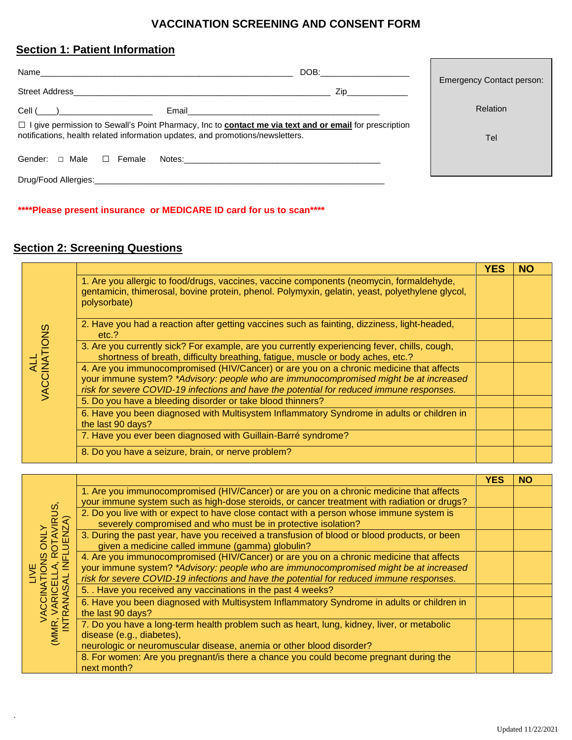### **VACCINATION SCREENING AND CONSENT FORM**

## **Section 1: Patient Information**

| Name                                                                                                                                                                                                   | DOB: the contract of the contract of the contract of the contract of the contract of the contract of the contract of the contract of the contract of the contract of the contract of the contract of the contract of the contr | <b>Emergency Contact person:</b> |
|--------------------------------------------------------------------------------------------------------------------------------------------------------------------------------------------------------|--------------------------------------------------------------------------------------------------------------------------------------------------------------------------------------------------------------------------------|----------------------------------|
|                                                                                                                                                                                                        | Zip and the second second second second second second second second second second second second second second                                                                                                                  |                                  |
| $Cell (\_\_)$<br>Email 2008 - 2008 - 2010 - 2010 - 2010 - 2010 - 2011 - 2012 - 2012 - 2012 - 2012 - 2012 - 2012 - 201                                                                                  |                                                                                                                                                                                                                                | <b>Relation</b>                  |
| $\Box$ I give permission to Sewall's Point Pharmacy, Inc to <b>contact me via text and or email</b> for prescription<br>notifications, health related information updates, and promotions/newsletters. | Tel                                                                                                                                                                                                                            |                                  |
| Gender: $\Box$ Male $\Box$ Female                                                                                                                                                                      |                                                                                                                                                                                                                                |                                  |
| Drug/Food Allergies: Allergies: Allergies and Allergies and Allergies and Allergies and Allergies and Allergies                                                                                        |                                                                                                                                                                                                                                |                                  |

**\*\*\*\*Please present insurance or MEDICARE ID card for us to scan\*\*\*\***

# **Section 2: Screening Questions**

.

|                     |                                                                                                                                                                                                                                                                              |                                                                                                                 | YES | NO |
|---------------------|------------------------------------------------------------------------------------------------------------------------------------------------------------------------------------------------------------------------------------------------------------------------------|-----------------------------------------------------------------------------------------------------------------|-----|----|
| ALL<br>VACCINATIONS | 1. Are you allergic to food/drugs, vaccines, vaccine components (neomycin, formaldehyde,<br>gentamicin, thimerosal, bovine protein, phenol. Polymyxin, gelatin, yeast, polyethylene glycol,<br>polysorbate)                                                                  |                                                                                                                 |     |    |
|                     | 2. Have you had a reaction after getting vaccines such as fainting, dizziness, light-headed,<br>etc.?                                                                                                                                                                        |                                                                                                                 |     |    |
|                     | 3. Are you currently sick? For example, are you currently experiencing fever, chills, cough,<br>shortness of breath, difficulty breathing, fatigue, muscle or body aches, etc.?                                                                                              |                                                                                                                 |     |    |
|                     | 4. Are you immunocompromised (HIV/Cancer) or are you on a chronic medicine that affects<br>your immune system? *Advisory: people who are immunocompromised might be at increased<br>risk for severe COVID-19 infections and have the potential for reduced immune responses. |                                                                                                                 |     |    |
|                     |                                                                                                                                                                                                                                                                              | 5. Do you have a bleeding disorder or take blood thinners?                                                      |     |    |
|                     |                                                                                                                                                                                                                                                                              | 6. Have you been diagnosed with Multisystem Inflammatory Syndrome in adults or children in<br>the last 90 days? |     |    |
|                     |                                                                                                                                                                                                                                                                              | 7. Have you ever been diagnosed with Guillain-Barré syndrome?                                                   |     |    |
|                     |                                                                                                                                                                                                                                                                              | 8. Do you have a seizure, brain, or nerve problem?                                                              |     |    |

|                                           |                                                                                                                                                                                   | YES | <b>NO</b> |
|-------------------------------------------|-----------------------------------------------------------------------------------------------------------------------------------------------------------------------------------|-----|-----------|
| <b>/IRUS,<br/>ZA)</b>                     | 1. Are you immunocompromised (HIV/Cancer) or are you on a chronic medicine that affects                                                                                           |     |           |
|                                           | your immune system such as high-dose steroids, or cancer treatment with radiation or drugs?                                                                                       |     |           |
|                                           | 2. Do you live with or expect to have close contact with a person whose immune system is<br>severely compromised and who must be in protective isolation?                         |     |           |
|                                           | 3. During the past year, have you received a transfusion of blood or blood products, or been<br>given a medicine called immune (gamma) globulin?                                  |     |           |
|                                           | 4. Are you immunocompromised (HIV/Cancer) or are you on a chronic medicine that affects                                                                                           |     |           |
|                                           | your immune system? *Advisory: people who are immunocompromised might be at increased<br>risk for severe COVID-19 infections and have the potential for reduced immune responses. |     |           |
|                                           | 5. Have you received any vaccinations in the past 4 weeks?                                                                                                                        |     |           |
| <b>VARIO</b><br>RANA<br>(MMR, V.<br>INTR, | 6. Have you been diagnosed with Multisystem Inflammatory Syndrome in adults or children in<br>the last 90 days?                                                                   |     |           |
|                                           | 7. Do you have a long-term health problem such as heart, lung, kidney, liver, or metabolic<br>disease (e.g., diabetes),                                                           |     |           |
|                                           | neurologic or neuromuscular disease, anemia or other blood disorder?                                                                                                              |     |           |
|                                           | 8. For women: Are you pregnant/is there a chance you could become pregnant during the<br>next month?                                                                              |     |           |